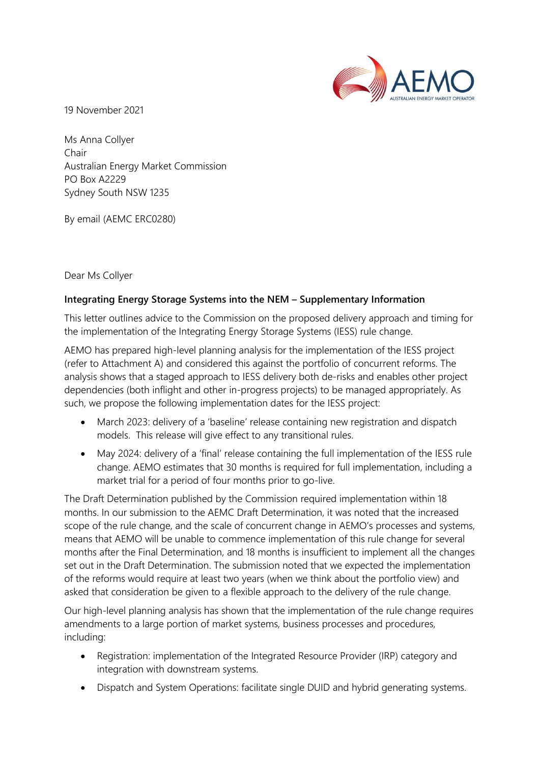

19 November 2021

Ms Anna Collyer Chair Australian Energy Market Commission PO Box A2229 Sydney South NSW 1235

By email (AEMC ERC0280)

Dear Ms Collyer

# **Integrating Energy Storage Systems into the NEM – Supplementary Information**

This letter outlines advice to the Commission on the proposed delivery approach and timing for the implementation of the Integrating Energy Storage Systems (IESS) rule change.

AEMO has prepared high-level planning analysis for the implementation of the IESS project (refer to Attachment A) and considered this against the portfolio of concurrent reforms. The analysis shows that a staged approach to IESS delivery both de-risks and enables other project dependencies (both inflight and other in-progress projects) to be managed appropriately. As such, we propose the following implementation dates for the IESS project:

- March 2023: delivery of a 'baseline' release containing new registration and dispatch models. This release will give effect to any transitional rules.
- May 2024: delivery of a 'final' release containing the full implementation of the IESS rule change. AEMO estimates that 30 months is required for full implementation, including a market trial for a period of four months prior to go-live.

The Draft Determination published by the Commission required implementation within 18 months. In our submission to the AEMC Draft Determination, it was noted that the increased scope of the rule change, and the scale of concurrent change in AEMO's processes and systems, means that AEMO will be unable to commence implementation of this rule change for several months after the Final Determination, and 18 months is insufficient to implement all the changes set out in the Draft Determination. The submission noted that we expected the implementation of the reforms would require at least two years (when we think about the portfolio view) and asked that consideration be given to a flexible approach to the delivery of the rule change.

Our high-level planning analysis has shown that the implementation of the rule change requires amendments to a large portion of market systems, business processes and procedures, including:

- Registration: implementation of the Integrated Resource Provider (IRP) category and integration with downstream systems.
- Dispatch and System Operations: facilitate single DUID and hybrid generating systems.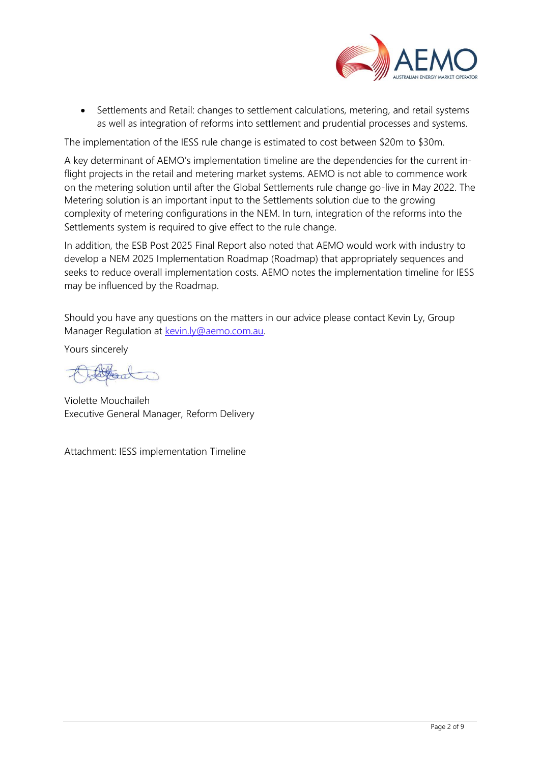

• Settlements and Retail: changes to settlement calculations, metering, and retail systems as well as integration of reforms into settlement and prudential processes and systems.

The implementation of the IESS rule change is estimated to cost between \$20m to \$30m.

A key determinant of AEMO's implementation timeline are the dependencies for the current inflight projects in the retail and metering market systems. AEMO is not able to commence work on the metering solution until after the Global Settlements rule change go-live in May 2022. The Metering solution is an important input to the Settlements solution due to the growing complexity of metering configurations in the NEM. In turn, integration of the reforms into the Settlements system is required to give effect to the rule change.

In addition, the ESB Post 2025 Final Report also noted that AEMO would work with industry to develop a NEM 2025 Implementation Roadmap (Roadmap) that appropriately sequences and seeks to reduce overall implementation costs. AEMO notes the implementation timeline for IESS may be influenced by the Roadmap.

Should you have any questions on the matters in our advice please contact Kevin Ly, Group Manager Regulation at [kevin.ly@aemo.com.au.](mailto:kevin.ly@aemo.com.au)

Yours sincerely

Violette Mouchaileh Executive General Manager, Reform Delivery

Attachment: IESS implementation Timeline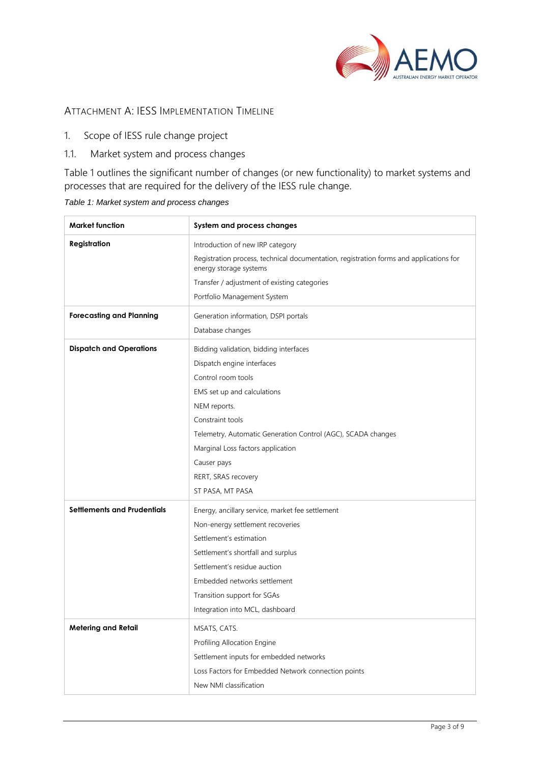

## ATTACHMENT A: IESS IMPLEMENTATION TIMELINE

- 1. Scope of IESS rule change project
- 1.1. Market system and process changes

Table 1 outlines the significant number of changes (or new functionality) to market systems and processes that are required for the delivery of the IESS rule change.

| <b>Market function</b>             | System and process changes                                                                                       |
|------------------------------------|------------------------------------------------------------------------------------------------------------------|
| Registration                       | Introduction of new IRP category                                                                                 |
|                                    | Registration process, technical documentation, registration forms and applications for<br>energy storage systems |
|                                    | Transfer / adjustment of existing categories                                                                     |
|                                    | Portfolio Management System                                                                                      |
| <b>Forecasting and Planning</b>    | Generation information, DSPI portals                                                                             |
|                                    | Database changes                                                                                                 |
| <b>Dispatch and Operations</b>     | Bidding validation, bidding interfaces                                                                           |
|                                    | Dispatch engine interfaces                                                                                       |
|                                    | Control room tools                                                                                               |
|                                    | EMS set up and calculations                                                                                      |
|                                    | NEM reports.                                                                                                     |
|                                    | Constraint tools                                                                                                 |
|                                    | Telemetry, Automatic Generation Control (AGC), SCADA changes                                                     |
|                                    | Marginal Loss factors application                                                                                |
|                                    | Causer pays                                                                                                      |
|                                    | RERT, SRAS recovery                                                                                              |
|                                    | ST PASA, MT PASA                                                                                                 |
| <b>Settlements and Prudentials</b> | Energy, ancillary service, market fee settlement                                                                 |
|                                    | Non-energy settlement recoveries                                                                                 |
|                                    | Settlement's estimation                                                                                          |
|                                    | Settlement's shortfall and surplus                                                                               |
|                                    | Settlement's residue auction                                                                                     |
|                                    | Embedded networks settlement                                                                                     |
|                                    | Transition support for SGAs                                                                                      |
|                                    | Integration into MCL, dashboard                                                                                  |
| <b>Metering and Retail</b>         | MSATS, CATS.                                                                                                     |
|                                    | Profiling Allocation Engine                                                                                      |
|                                    | Settlement inputs for embedded networks                                                                          |
|                                    | Loss Factors for Embedded Network connection points                                                              |
|                                    | New NMI classification                                                                                           |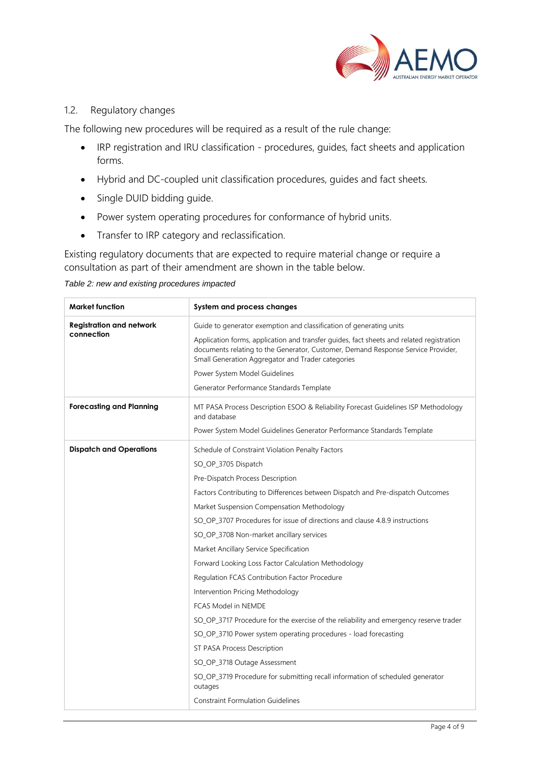

### 1.2. Regulatory changes

The following new procedures will be required as a result of the rule change:

- IRP registration and IRU classification procedures, guides, fact sheets and application forms.
- Hybrid and DC-coupled unit classification procedures, guides and fact sheets.
- Single DUID bidding guide.
- Power system operating procedures for conformance of hybrid units.
- Transfer to IRP category and reclassification.

Existing regulatory documents that are expected to require material change or require a consultation as part of their amendment are shown in the table below.

*Table 2: new and existing procedures impacted* 

| <b>Market function</b>                        | System and process changes                                                                                                                                                                                                                                                                                                                                                                                                                                                                                                                                                                                                                                                                                                                                                                                                                                                                                                                                    |
|-----------------------------------------------|---------------------------------------------------------------------------------------------------------------------------------------------------------------------------------------------------------------------------------------------------------------------------------------------------------------------------------------------------------------------------------------------------------------------------------------------------------------------------------------------------------------------------------------------------------------------------------------------------------------------------------------------------------------------------------------------------------------------------------------------------------------------------------------------------------------------------------------------------------------------------------------------------------------------------------------------------------------|
| <b>Registration and network</b><br>connection | Guide to generator exemption and classification of generating units<br>Application forms, application and transfer guides, fact sheets and related registration<br>documents relating to the Generator, Customer, Demand Response Service Provider,<br>Small Generation Aggregator and Trader categories<br>Power System Model Guidelines<br>Generator Performance Standards Template                                                                                                                                                                                                                                                                                                                                                                                                                                                                                                                                                                         |
| <b>Forecasting and Planning</b>               | MT PASA Process Description ESOO & Reliability Forecast Guidelines ISP Methodology<br>and database<br>Power System Model Guidelines Generator Performance Standards Template                                                                                                                                                                                                                                                                                                                                                                                                                                                                                                                                                                                                                                                                                                                                                                                  |
| <b>Dispatch and Operations</b>                | Schedule of Constraint Violation Penalty Factors<br>SO_OP_3705 Dispatch<br>Pre-Dispatch Process Description<br>Factors Contributing to Differences between Dispatch and Pre-dispatch Outcomes<br>Market Suspension Compensation Methodology<br>SO OP 3707 Procedures for issue of directions and clause 4.8.9 instructions<br>SO OP 3708 Non-market ancillary services<br>Market Ancillary Service Specification<br>Forward Looking Loss Factor Calculation Methodology<br>Regulation FCAS Contribution Factor Procedure<br>Intervention Pricing Methodology<br><b>FCAS Model in NEMDE</b><br>SO_OP_3717 Procedure for the exercise of the reliability and emergency reserve trader<br>SO_OP_3710 Power system operating procedures - load forecasting<br>ST PASA Process Description<br>SO_OP_3718 Outage Assessment<br>SO_OP_3719 Procedure for submitting recall information of scheduled generator<br>outages<br><b>Constraint Formulation Guidelines</b> |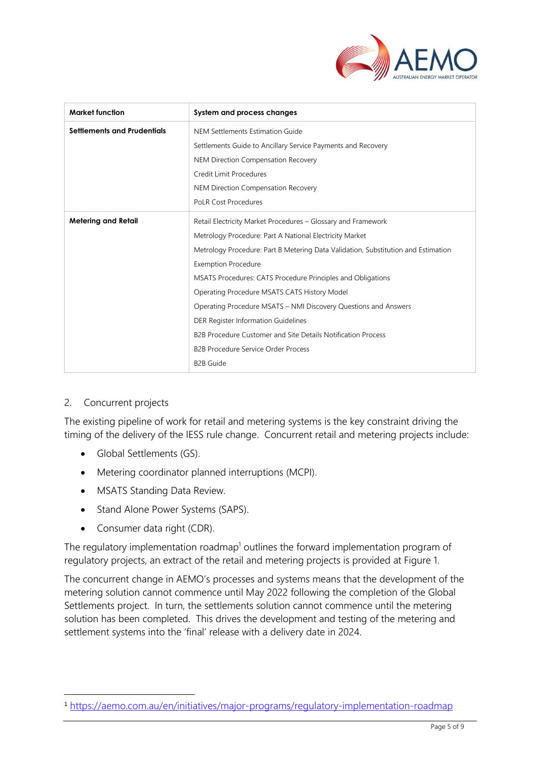

| <b>Market function</b>      | System and process changes                                                                                                                                                                                                                                                                                                                                                                |  |  |  |  |  |  |  |  |
|-----------------------------|-------------------------------------------------------------------------------------------------------------------------------------------------------------------------------------------------------------------------------------------------------------------------------------------------------------------------------------------------------------------------------------------|--|--|--|--|--|--|--|--|
| Settlements and Prudentials | NEM Settlements Estimation Guide                                                                                                                                                                                                                                                                                                                                                          |  |  |  |  |  |  |  |  |
|                             | Settlements Guide to Ancillary Service Payments and Recovery                                                                                                                                                                                                                                                                                                                              |  |  |  |  |  |  |  |  |
|                             | NEM Direction Compensation Recovery                                                                                                                                                                                                                                                                                                                                                       |  |  |  |  |  |  |  |  |
|                             | Credit Limit Procedures                                                                                                                                                                                                                                                                                                                                                                   |  |  |  |  |  |  |  |  |
|                             | NEM Direction Compensation Recovery                                                                                                                                                                                                                                                                                                                                                       |  |  |  |  |  |  |  |  |
|                             | <b>PoLR Cost Procedures</b><br>Retail Electricity Market Procedures - Glossary and Framework<br>Metrology Procedure: Part A National Electricity Market<br>Metrology Procedure: Part B Metering Data Validation, Substitution and Estimation<br><b>Exemption Procedure</b><br>MSATS Procedures: CATS Procedure Principles and Obligations<br>Operating Procedure MSATS CATS History Model |  |  |  |  |  |  |  |  |
| <b>Metering and Retail</b>  |                                                                                                                                                                                                                                                                                                                                                                                           |  |  |  |  |  |  |  |  |
|                             |                                                                                                                                                                                                                                                                                                                                                                                           |  |  |  |  |  |  |  |  |
|                             |                                                                                                                                                                                                                                                                                                                                                                                           |  |  |  |  |  |  |  |  |
|                             |                                                                                                                                                                                                                                                                                                                                                                                           |  |  |  |  |  |  |  |  |
|                             |                                                                                                                                                                                                                                                                                                                                                                                           |  |  |  |  |  |  |  |  |
|                             |                                                                                                                                                                                                                                                                                                                                                                                           |  |  |  |  |  |  |  |  |
|                             | Operating Procedure MSATS - NMI Discovery Questions and Answers                                                                                                                                                                                                                                                                                                                           |  |  |  |  |  |  |  |  |
|                             | DER Register Information Guidelines                                                                                                                                                                                                                                                                                                                                                       |  |  |  |  |  |  |  |  |
|                             | B2B Procedure Customer and Site Details Notification Process                                                                                                                                                                                                                                                                                                                              |  |  |  |  |  |  |  |  |
|                             | <b>B2B Procedure Service Order Process</b>                                                                                                                                                                                                                                                                                                                                                |  |  |  |  |  |  |  |  |
|                             | <b>B2B Guide</b>                                                                                                                                                                                                                                                                                                                                                                          |  |  |  |  |  |  |  |  |

# 2. Concurrent projects

The existing pipeline of work for retail and metering systems is the key constraint driving the timing of the delivery of the IESS rule change. Concurrent retail and metering projects include:

- Global Settlements (GS).
- Metering coordinator planned interruptions (MCPI).
- MSATS Standing Data Review.
- Stand Alone Power Systems (SAPS).
- Consumer data right (CDR).

The regulatory implementation roadmap<sup>1</sup> outlines the forward implementation program of regulatory projects, an extract of the retail and metering projects is provided at Figure 1.

The concurrent change in AEMO's processes and systems means that the development of the metering solution cannot commence until May 2022 following the completion of the Global Settlements project. In turn, the settlements solution cannot commence until the metering solution has been completed. This drives the development and testing of the metering and settlement systems into the 'final' release with a delivery date in 2024.

<sup>1</sup> <https://aemo.com.au/en/initiatives/major-programs/regulatory-implementation-roadmap>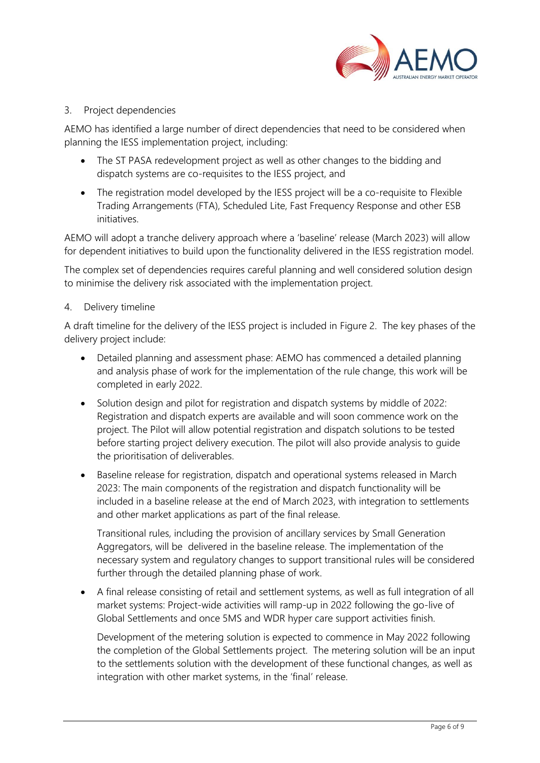

### 3. Project dependencies

AEMO has identified a large number of direct dependencies that need to be considered when planning the IESS implementation project, including:

- The ST PASA redevelopment project as well as other changes to the bidding and dispatch systems are co-requisites to the IESS project, and
- The registration model developed by the IESS project will be a co-requisite to Flexible Trading Arrangements (FTA), Scheduled Lite, Fast Frequency Response and other ESB initiatives.

AEMO will adopt a tranche delivery approach where a 'baseline' release (March 2023) will allow for dependent initiatives to build upon the functionality delivered in the IESS registration model.

The complex set of dependencies requires careful planning and well considered solution design to minimise the delivery risk associated with the implementation project.

## 4. Delivery timeline

A draft timeline for the delivery of the IESS project is included in Figure 2. The key phases of the delivery project include:

- Detailed planning and assessment phase: AEMO has commenced a detailed planning and analysis phase of work for the implementation of the rule change, this work will be completed in early 2022.
- Solution design and pilot for registration and dispatch systems by middle of 2022: Registration and dispatch experts are available and will soon commence work on the project. The Pilot will allow potential registration and dispatch solutions to be tested before starting project delivery execution. The pilot will also provide analysis to guide the prioritisation of deliverables.
- Baseline release for registration, dispatch and operational systems released in March 2023: The main components of the registration and dispatch functionality will be included in a baseline release at the end of March 2023, with integration to settlements and other market applications as part of the final release.

Transitional rules, including the provision of ancillary services by Small Generation Aggregators, will be delivered in the baseline release. The implementation of the necessary system and regulatory changes to support transitional rules will be considered further through the detailed planning phase of work.

• A final release consisting of retail and settlement systems, as well as full integration of all market systems: Project-wide activities will ramp-up in 2022 following the go-live of Global Settlements and once 5MS and WDR hyper care support activities finish.

Development of the metering solution is expected to commence in May 2022 following the completion of the Global Settlements project. The metering solution will be an input to the settlements solution with the development of these functional changes, as well as integration with other market systems, in the 'final' release.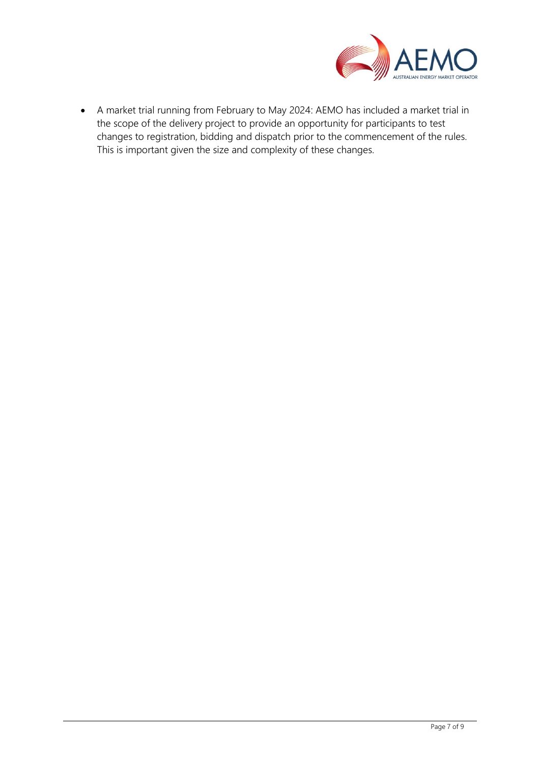

• A market trial running from February to May 2024: AEMO has included a market trial in the scope of the delivery project to provide an opportunity for participants to test changes to registration, bidding and dispatch prior to the commencement of the rules. This is important given the size and complexity of these changes.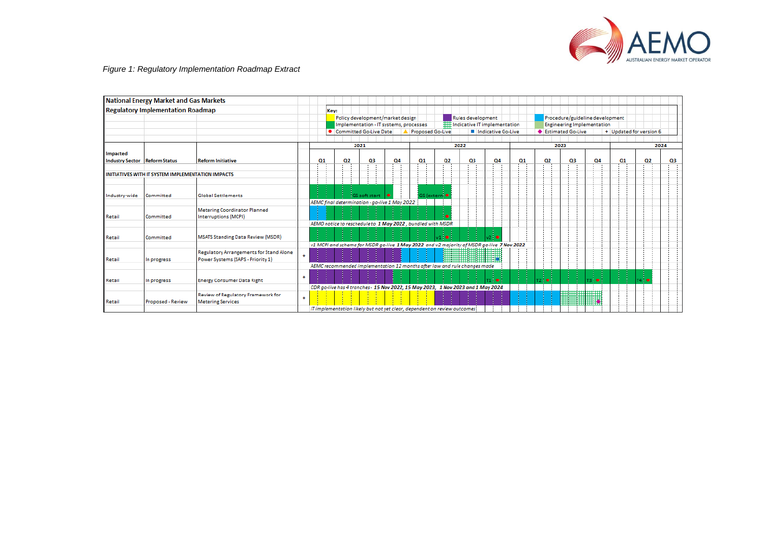

#### *Figure 1: Regulatory Implementation Roadmap Extract*

|                        | <b>National Energy Market and Gas Markets</b>     |                                                                |           |                                                              |                                                                                  |                                        |           |    |                         |      |                                                                                           |    |     |                                   |                                 |                         |      |      |  |  |  |  |  |
|------------------------|---------------------------------------------------|----------------------------------------------------------------|-----------|--------------------------------------------------------------|----------------------------------------------------------------------------------|----------------------------------------|-----------|----|-------------------------|------|-------------------------------------------------------------------------------------------|----|-----|-----------------------------------|---------------------------------|-------------------------|------|------|--|--|--|--|--|
|                        | <b>Regulatory Implementation Roadmap</b>          |                                                                |           |                                                              | Key:                                                                             |                                        |           |    |                         |      |                                                                                           |    |     |                                   |                                 |                         |      |      |  |  |  |  |  |
|                        |                                                   |                                                                |           | Policy development/market design<br><b>Rules development</b> |                                                                                  |                                        |           |    |                         |      |                                                                                           |    |     |                                   | Procedure/guideline development |                         |      |      |  |  |  |  |  |
|                        |                                                   |                                                                |           |                                                              |                                                                                  | Implementation - IT systems, processes |           |    |                         |      | <b>III</b> Indicative IT implementation                                                   |    |     | <b>Engineering Implementation</b> |                                 |                         |      |      |  |  |  |  |  |
|                        |                                                   |                                                                |           |                                                              | Committed Go-Live Date                                                           |                                        |           |    | <b>Proposed Go-Live</b> |      | Indicative Go-Live                                                                        |    |     | ♦ Estimated Go-Live               |                                 | + Updated for version 6 |      |      |  |  |  |  |  |
|                        |                                                   |                                                                |           |                                                              |                                                                                  |                                        |           |    |                         |      |                                                                                           |    |     |                                   |                                 |                         |      |      |  |  |  |  |  |
|                        |                                                   |                                                                |           |                                                              |                                                                                  | 2021                                   |           |    |                         | 2022 |                                                                                           |    |     | 2023                              |                                 |                         |      | 2024 |  |  |  |  |  |
| Impacted               |                                                   |                                                                |           |                                                              |                                                                                  |                                        |           |    |                         |      |                                                                                           |    |     |                                   |                                 |                         |      |      |  |  |  |  |  |
| <b>Industry Sector</b> | <b>Reform Status</b>                              | <b>Reform Initiative</b>                                       |           | Q1                                                           | Q2                                                                               | Q3                                     | <b>Q4</b> | Q1 | Q2                      | Q3   | <b>Q4</b>                                                                                 | Q1 | Q2  | Q3                                | <b>Q4</b>                       | Q1                      | Q2   | Q3   |  |  |  |  |  |
|                        |                                                   |                                                                |           |                                                              |                                                                                  |                                        |           |    |                         |      |                                                                                           |    |     |                                   |                                 |                         |      |      |  |  |  |  |  |
|                        | INITIATIVES WITH IT SYSTEM IMPLEMENTATION IMPACTS |                                                                |           |                                                              |                                                                                  |                                        |           |    |                         |      |                                                                                           |    |     |                                   |                                 |                         |      |      |  |  |  |  |  |
|                        |                                                   |                                                                |           |                                                              |                                                                                  |                                        |           |    |                         |      |                                                                                           |    |     |                                   |                                 |                         |      |      |  |  |  |  |  |
| Industry-wide          | Committed                                         | <b>Global Settlements</b>                                      |           |                                                              |                                                                                  | <b>IGS</b> soft start                  |           |    | GS (extern: ●           |      |                                                                                           |    |     |                                   |                                 |                         |      |      |  |  |  |  |  |
|                        |                                                   |                                                                |           |                                                              | AEMC final determination - go-live 1 May 2022                                    |                                        |           |    |                         |      |                                                                                           |    |     |                                   |                                 |                         |      |      |  |  |  |  |  |
|                        |                                                   | <b>Metering Coordinator Planned</b>                            |           |                                                              |                                                                                  |                                        |           |    |                         |      |                                                                                           |    |     |                                   |                                 |                         |      |      |  |  |  |  |  |
| Retail                 | Committed                                         | Interruptions (MCPI)                                           |           |                                                              |                                                                                  |                                        |           |    |                         |      |                                                                                           |    |     |                                   |                                 |                         |      |      |  |  |  |  |  |
|                        |                                                   |                                                                |           |                                                              | AEMO notice to reschedule to 1 May 2022, bundled with MSDR                       |                                        |           |    |                         |      |                                                                                           |    |     |                                   |                                 |                         |      |      |  |  |  |  |  |
|                        |                                                   |                                                                |           |                                                              |                                                                                  |                                        |           |    |                         |      |                                                                                           |    |     |                                   |                                 |                         |      |      |  |  |  |  |  |
| Retail                 | Committed                                         | <b>MSATS Standing Data Review (MSDR)</b>                       |           |                                                              |                                                                                  |                                        |           |    |                         |      |                                                                                           |    |     |                                   |                                 |                         |      |      |  |  |  |  |  |
|                        |                                                   |                                                                |           |                                                              |                                                                                  |                                        |           |    |                         |      | v1 MCPI and schema for MSDR go-live 1 May 2022 and v2 majority of MSDR go-live 7 Nov 2022 |    |     |                                   |                                 |                         |      |      |  |  |  |  |  |
|                        |                                                   | <b>Regulatory Arrangements for Stand Alone</b>                 |           |                                                              |                                                                                  |                                        |           |    |                         |      |                                                                                           |    |     |                                   |                                 |                         |      |      |  |  |  |  |  |
| Retail                 | In progress                                       | Power Systems (SAPS - Priority 1)                              | $\ddot{}$ |                                                              |                                                                                  |                                        |           |    |                         |      |                                                                                           |    |     |                                   |                                 |                         |      |      |  |  |  |  |  |
|                        |                                                   |                                                                |           |                                                              | AEMC recommended implementation 12 months after law and rule changes made        |                                        |           |    |                         |      |                                                                                           |    |     |                                   |                                 |                         |      |      |  |  |  |  |  |
|                        |                                                   |                                                                | $\ddot{}$ |                                                              |                                                                                  |                                        |           |    |                         |      |                                                                                           |    |     |                                   |                                 |                         |      |      |  |  |  |  |  |
| Retail                 | In progress                                       | <b>Energy Consumer Data Right</b>                              |           |                                                              |                                                                                  |                                        |           |    |                         |      | T1 <b>O</b>                                                                               |    | ا ہ |                                   | <b>13 O</b>                     |                         | T4 8 |      |  |  |  |  |  |
|                        |                                                   |                                                                |           |                                                              | CDR go-live has 4 tranches - 15 Nov 2022, 15 May 2023, 1 Nov 2023 and 1 May 2024 |                                        |           |    |                         |      |                                                                                           |    |     |                                   |                                 |                         |      |      |  |  |  |  |  |
| Retail                 | Proposed - Review                                 | Review of Regulatory Framework for<br><b>Metering Services</b> | $\ddot{}$ |                                                              |                                                                                  |                                        |           |    |                         |      |                                                                                           |    |     | <b>Alla</b>                       |                                 |                         |      |      |  |  |  |  |  |
|                        |                                                   |                                                                |           |                                                              | IT implementation likely but not yet clear, dependent on review outcomes?        |                                        |           |    |                         |      |                                                                                           |    |     |                                   |                                 |                         |      |      |  |  |  |  |  |